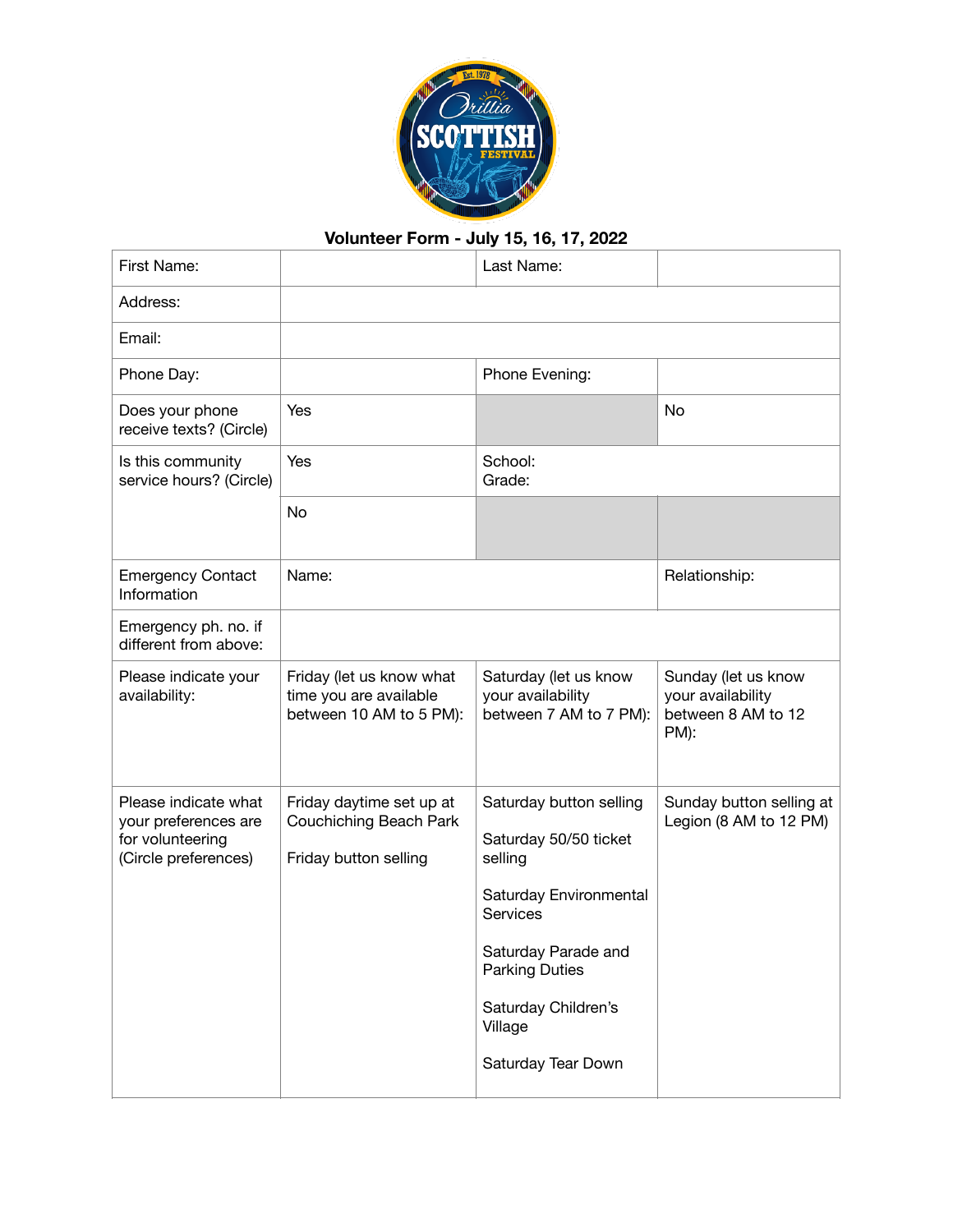

## **Volunteer Form - July 15, 16, 17, 2022**

| First Name:                                                                              |                                                                               | Last Name:                                                                                                                                                                                                |                                                                        |
|------------------------------------------------------------------------------------------|-------------------------------------------------------------------------------|-----------------------------------------------------------------------------------------------------------------------------------------------------------------------------------------------------------|------------------------------------------------------------------------|
| Address:                                                                                 |                                                                               |                                                                                                                                                                                                           |                                                                        |
| Email:                                                                                   |                                                                               |                                                                                                                                                                                                           |                                                                        |
| Phone Day:                                                                               |                                                                               | Phone Evening:                                                                                                                                                                                            |                                                                        |
| Does your phone<br>receive texts? (Circle)                                               | Yes                                                                           |                                                                                                                                                                                                           | <b>No</b>                                                              |
| Is this community<br>service hours? (Circle)                                             | Yes                                                                           | School:<br>Grade:                                                                                                                                                                                         |                                                                        |
|                                                                                          | No                                                                            |                                                                                                                                                                                                           |                                                                        |
| <b>Emergency Contact</b><br>Information                                                  | Name:                                                                         |                                                                                                                                                                                                           | Relationship:                                                          |
| Emergency ph. no. if<br>different from above:                                            |                                                                               |                                                                                                                                                                                                           |                                                                        |
| Please indicate your<br>availability:                                                    | Friday (let us know what<br>time you are available<br>between 10 AM to 5 PM): | Saturday (let us know<br>your availability<br>between 7 AM to 7 PM):                                                                                                                                      | Sunday (let us know<br>your availability<br>between 8 AM to 12<br>PM): |
| Please indicate what<br>your preferences are<br>for volunteering<br>(Circle preferences) | Friday daytime set up at<br>Couchiching Beach Park<br>Friday button selling   | Saturday button selling<br>Saturday 50/50 ticket<br>selling<br>Saturday Environmental<br>Services<br>Saturday Parade and<br><b>Parking Duties</b><br>Saturday Children's<br>Village<br>Saturday Tear Down | Sunday button selling at<br>Legion (8 AM to 12 PM)                     |